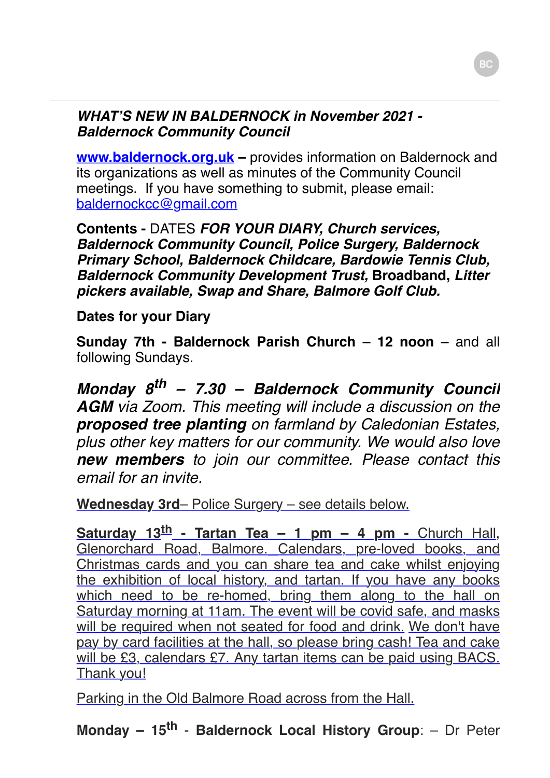## *WHAT'S NEW IN BALDERNOCK in November 2021 - Baldernock Community Council*

**www.baldernock.org.uk** – provides information on Baldernock and its organizations as well as minutes of the Community Council meetings. If you have something to submit, please email: [baldernockcc@gmail.com](mailto:baldernockcc@gmail.com)

**Contents -** DATES *FOR YOUR DIARY, Church services, Baldernock Community Council, Police Surgery, Baldernock Primary School, Baldernock Childcare, Bardowie Tennis Club, Baldernock Community Development Trust,* **Broadband,** *Litter pickers available, Swap and Share, Balmore Golf Club.*

## **Dates for your Diary**

**Sunday 7th - Baldernock Parish Church – 12 noon – and all** following Sundays.

*Monday 8th – 7.30 – Baldernock Community Council AGM via Zoom. This meeting will include a discussion on the proposed tree planting on farmland by Caledonian Estates, plus other key matters for our community. We would also love new members to join our committee. Please contact this email for an invite.* 

**Wednesday 3rd**– Police Surgery – see details below.

**Saturday 13th - Tartan Tea – 1 pm – 4 pm -** Church Hall, Glenorchard Road, Balmore. Calendars, pre-loved books, and Christmas cards and you can share tea and cake whilst enjoying the exhibition of local history, and tartan. If you have any books which need to be re-homed, bring them along to the hall on Saturday morning at 11am. The event will be covid safe, and masks will be required when not seated for food and drink. We don't have pay by card facilities at the hall, so please bring cash! Tea and cake will be £3, calendars £7. Any tartan items can be paid using BACS. Thank you!

Parking in the Old Balmore Road across from the Hall.

**Monday – 15th** - **Baldernock Local History Group**: – Dr Peter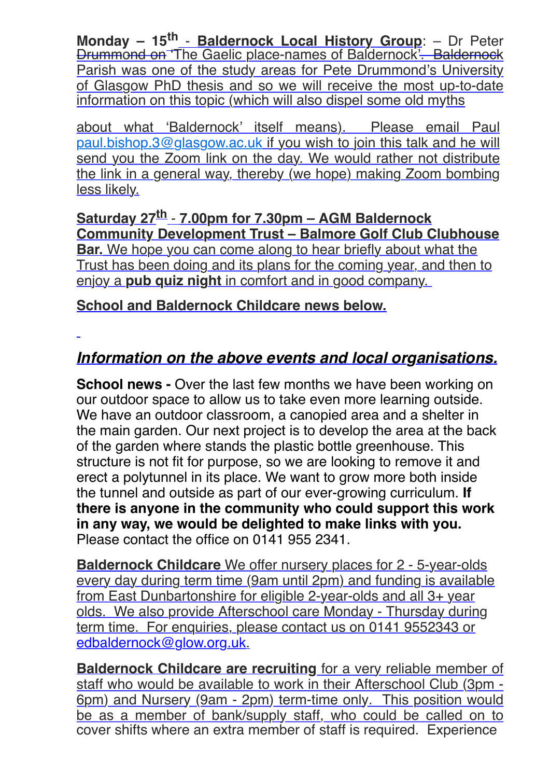**Monday – 15th** - **Baldernock Local History Group**: – Dr Peter Drummond on 'The Gaelic place-names of Baldernock'. Baldernock Parish was one of the study areas for Pete Drummond's University of Glasgow PhD thesis and so we will receive the most up-to-date information on this topic (which will also dispel some old myths

about what 'Baldernock' itself means). Please email Paul [paul.bishop.3@glasgow.ac.uk](mailto:paul.bishop.3@glasgow.ac.uk) if you wish to join this talk and he will send you the Zoom link on the day. We would rather not distribute the link in a general way, thereby (we hope) making Zoom bombing less likely.

**Saturday 27th** - **7.00pm for 7.30pm – AGM Baldernock Community Development Trust – Balmore Golf Club Clubhouse Bar.** We hope you can come along to hear briefly about what the Trust has been doing and its plans for the coming year, and then to enjoy a **pub quiz night** in comfort and in good company.

**School and Baldernock Childcare news below.**

## *Information on the above events and local organisations.*

**School news -** Over the last few months we have been working on our outdoor space to allow us to take even more learning outside. We have an outdoor classroom, a canopied area and a shelter in the main garden. Our next project is to develop the area at the back of the garden where stands the plastic bottle greenhouse. This structure is not fit for purpose, so we are looking to remove it and erect a polytunnel in its place. We want to grow more both inside the tunnel and outside as part of our ever-growing curriculum. **If there is anyone in the community who could support this work in any way, we would be delighted to make links with you.** Please contact the office on 0141 955 2341.

**Baldernock Childcare** We offer nursery places for 2 - 5-year-olds every day during term time (9am until 2pm) and funding is available from East Dunbartonshire for eligible 2-year-olds and all 3+ year olds. We also provide Afterschool care Monday - Thursday during term time. For enquiries, please contact us on 0141 9552343 or [edbaldernock@glow.org.uk](mailto:edbaldernock@glow.org.uk).

**Baldernock Childcare are recruiting** for a very reliable member of staff who would be available to work in their Afterschool Club (3pm - 6pm) and Nursery (9am - 2pm) term-time only. This position would be as a member of bank/supply staff, who could be called on to cover shifts where an extra member of staff is required. Experience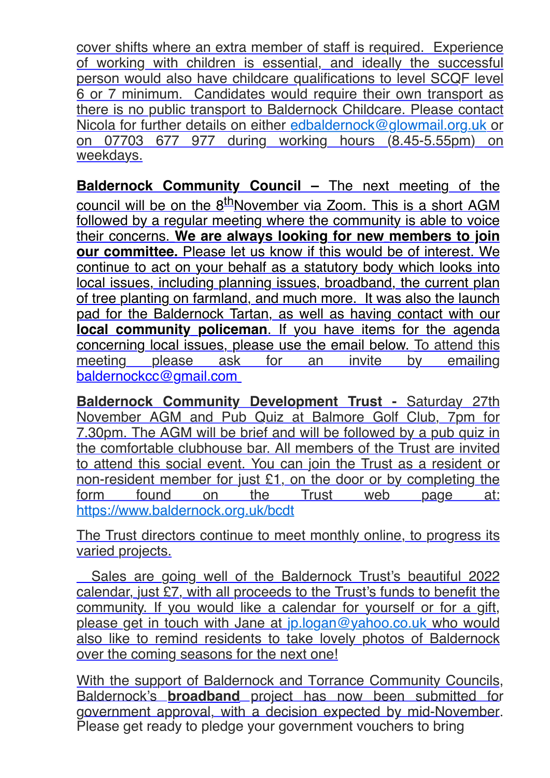cover shifts where an extra member of staff is required. Experience of working with children is essential, and ideally the successful person would also have childcare qualifications to level SCQF level 6 or 7 minimum. Candidates would require their own transport as there is no public transport to Baldernock Childcare. Please contact Nicola for further details on either [edbaldernock@glowmail.org.uk](mailto:edbaldernock@glowmail.org.uk) or on 07703 677 977 during working hours (8.45-5.55pm) on weekdays.

**Baldernock Community Council –** The next meeting of the council will be on the 8<sup>th</sup>November via Zoom. This is a short AGM followed by a regular meeting where the community is able to voice their concerns. **We are always looking for new members to join our committee.** Please let us know if this would be of interest. We continue to act on your behalf as a statutory body which looks into local issues, including planning issues, broadband, the current plan of tree planting on farmland, and much more. It was also the launch pad for the Baldernock Tartan, as well as having contact with our **local community policeman**. If you have items for the agenda concerning local issues, please use the email below. To attend this meeting please ask for an invite by emailing [baldernockcc@gmail.com](mailto:baldernockcc@gmail.com)

**Baldernock Community Development Trust - Saturday 27th** November AGM and Pub Quiz at Balmore Golf Club, 7pm for 7.30pm. The AGM will be brief and will be followed by a pub quiz in the comfortable clubhouse bar. All members of the Trust are invited to attend this social event. You can join the Trust as a resident or non-resident member for just £1, on the door or by completing the form found on the Trust web page at: <https://www.baldernock.org.uk/bcdt>

The Trust directors continue to meet monthly online, to progress its varied projects.

Sales are going well of the Baldernock Trust's beautiful 2022 calendar, just £7, with all proceeds to the Trust's funds to benefit the community. If you would like a calendar for yourself or for a gift, please get in touch with Jane at [jp.logan@yahoo.co.uk](mailto:jp.logan@yahoo.co.uk) who would also like to remind residents to take lovely photos of Baldernock over the coming seasons for the next one!

With the support of Baldernock and Torrance Community Councils, Baldernock's **broadband** project has now been submitted for government approval, with a decision expected by mid-November. Please get ready to pledge your government vouchers to bring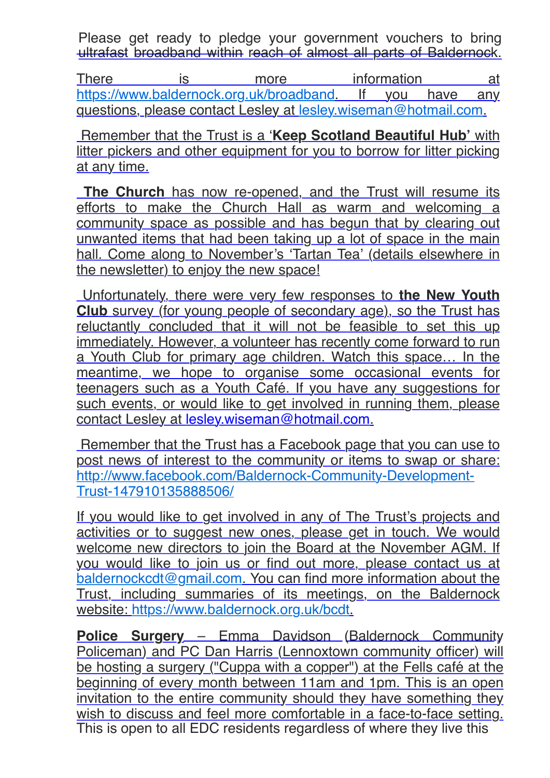Please get ready to pledge your government vouchers to bring ultrafast broadband within reach of almost all parts of Baldernock.

There is more information at [https://www.baldernock.org.uk/broadband.](https://www.baldernock.org.uk/broadband) If you have any questions, please contact Lesley at [lesley.wiseman@hotmail.com](mailto:lesley.wiseman@hotmail.com).

 Remember that the Trust is a '**Keep Scotland Beautiful Hub'** with litter pickers and other equipment for you to borrow for litter picking at any time.

**The Church** has now re-opened, and the Trust will resume its efforts to make the Church Hall as warm and welcoming a community space as possible and has begun that by clearing out unwanted items that had been taking up a lot of space in the main hall. Come along to November's 'Tartan Tea' (details elsewhere in the newsletter) to enjoy the new space!

 Unfortunately, there were very few responses to **the New Youth Club** survey (for young people of secondary age), so the Trust has reluctantly concluded that it will not be feasible to set this up immediately. However, a volunteer has recently come forward to run a Youth Club for primary age children. Watch this space… In the meantime, we hope to organise some occasional events for teenagers such as a Youth Café. If you have any suggestions for such events, or would like to get involved in running them, please contact Lesley at [lesley.wiseman@hotmail.com](mailto:lesley.wiseman@hotmail.com).

Remember that the Trust has a Facebook page that you can use to post news of interest to the community or items to swap or share: [http://www.facebook.com/Baldernock-Community-Development-](http://www.facebook.com/Baldernock-Community-Development-Trust-147910135888506/)Trust-147910135888506/

If you would like to get involved in any of The Trust's projects and activities or to suggest new ones, please get in touch. We would welcome new directors to join the Board at the November AGM. If you would like to join us or find out more, please contact us at [baldernockcdt@gmail.com](mailto:baldernockcdt@gmail.com). You can find more information about the Trust, including summaries of its meetings, on the Baldernock website: [https://www.baldernock.org.uk/bcdt.](https://www.baldernock.org.uk/bcdt)

**Police Surgery** – Emma Davidson (Baldernock Community Policeman) and PC Dan Harris (Lennoxtown community officer) will be hosting a surgery ("Cuppa with a copper") at the Fells café at the beginning of every month between 11am and 1pm. This is an open invitation to the entire community should they have something they wish to discuss and feel more comfortable in a face-to-face setting. This is open to all EDC residents regardless of where they live this